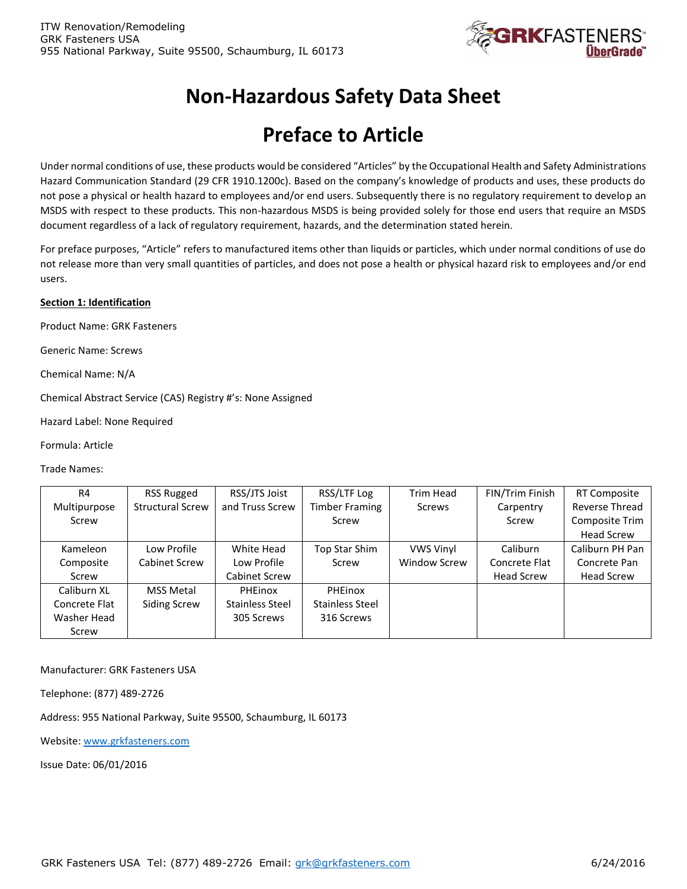

# **Non-Hazardous Safety Data Sheet**

# **Preface to Article**

Under normal conditions of use, these products would be considered "Articles" by the Occupational Health and Safety Administrations Hazard Communication Standard (29 CFR 1910.1200c). Based on the company's knowledge of products and uses, these products do not pose a physical or health hazard to employees and/or end users. Subsequently there is no regulatory requirement to develop an MSDS with respect to these products. This non-hazardous MSDS is being provided solely for those end users that require an MSDS document regardless of a lack of regulatory requirement, hazards, and the determination stated herein.

For preface purposes, "Article" refers to manufactured items other than liquids or particles, which under normal conditions of use do not release more than very small quantities of particles, and does not pose a health or physical hazard risk to employees and/or end users.

#### **Section 1: Identification**

Product Name: GRK Fasteners

Generic Name: Screws

Chemical Name: N/A

Chemical Abstract Service (CAS) Registry #'s: None Assigned

Hazard Label: None Required

Formula: Article

Trade Names:

| R4            | <b>RSS Rugged</b>       | RSS/JTS Joist          | RSS/LTF Log           | Trim Head           | FIN/Trim Finish   | <b>RT Composite</b> |
|---------------|-------------------------|------------------------|-----------------------|---------------------|-------------------|---------------------|
| Multipurpose  | <b>Structural Screw</b> | and Truss Screw        | <b>Timber Framing</b> | Screws              | Carpentry         | Reverse Thread      |
| Screw         |                         |                        | Screw                 |                     | Screw             | Composite Trim      |
|               |                         |                        |                       |                     |                   | <b>Head Screw</b>   |
| Kameleon      | Low Profile             | White Head             | Top Star Shim         | <b>VWS Vinyl</b>    | Caliburn          | Caliburn PH Pan     |
| Composite     | Cabinet Screw           | Low Profile            | Screw                 | <b>Window Screw</b> | Concrete Flat     | Concrete Pan        |
| Screw         |                         | Cabinet Screw          |                       |                     | <b>Head Screw</b> | <b>Head Screw</b>   |
| Caliburn XL   | <b>MSS Metal</b>        | PHEinox                | PHEinox               |                     |                   |                     |
| Concrete Flat | <b>Siding Screw</b>     | <b>Stainless Steel</b> | Stainless Steel       |                     |                   |                     |
| Washer Head   |                         | 305 Screws             | 316 Screws            |                     |                   |                     |
| Screw         |                         |                        |                       |                     |                   |                     |

Manufacturer: GRK Fasteners USA

Telephone: (877) 489-2726

Address: 955 National Parkway, Suite 95500, Schaumburg, IL 60173

Website[: www.grkfasteners.com](http://www.grkfasteners.com/)

Issue Date: 06/01/2016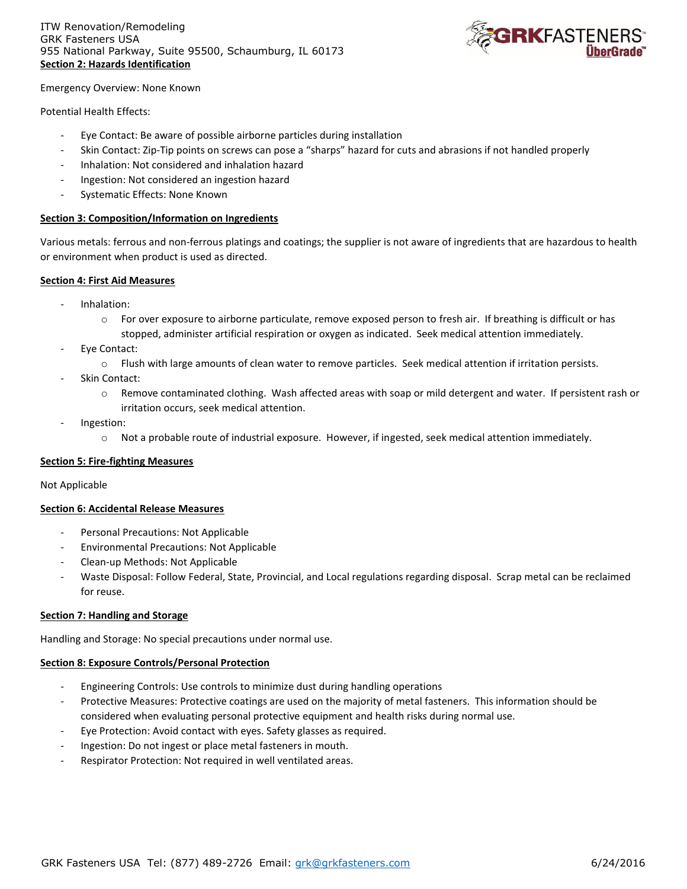

Emergency Overview: None Known

Potential Health Effects:

- Eye Contact: Be aware of possible airborne particles during installation
- Skin Contact: Zip-Tip points on screws can pose a "sharps" hazard for cuts and abrasions if not handled properly
- Inhalation: Not considered and inhalation hazard
- Ingestion: Not considered an ingestion hazard
- Systematic Effects: None Known

#### **Section 3: Composition/Information on Ingredients**

Various metals: ferrous and non-ferrous platings and coatings; the supplier is not aware of ingredients that are hazardous to health or environment when product is used as directed.

#### **Section 4: First Aid Measures**

- Inhalation:
	- $\circ$  For over exposure to airborne particulate, remove exposed person to fresh air. If breathing is difficult or has stopped, administer artificial respiration or oxygen as indicated. Seek medical attention immediately.
- Eye Contact:
	- o Flush with large amounts of clean water to remove particles. Seek medical attention if irritation persists.
- Skin Contact:
	- o Remove contaminated clothing. Wash affected areas with soap or mild detergent and water. If persistent rash or irritation occurs, seek medical attention.
- Ingestion:
	- o Not a probable route of industrial exposure. However, if ingested, seek medical attention immediately.

#### **Section 5: Fire-fighting Measures**

#### Not Applicable

#### **Section 6: Accidental Release Measures**

- Personal Precautions: Not Applicable
- Environmental Precautions: Not Applicable
- Clean-up Methods: Not Applicable
- Waste Disposal: Follow Federal, State, Provincial, and Local regulations regarding disposal. Scrap metal can be reclaimed for reuse.

# **Section 7: Handling and Storage**

Handling and Storage: No special precautions under normal use.

#### **Section 8: Exposure Controls/Personal Protection**

- Engineering Controls: Use controls to minimize dust during handling operations
- Protective Measures: Protective coatings are used on the majority of metal fasteners. This information should be considered when evaluating personal protective equipment and health risks during normal use.
- Eye Protection: Avoid contact with eyes. Safety glasses as required.
- Ingestion: Do not ingest or place metal fasteners in mouth.
- Respirator Protection: Not required in well ventilated areas.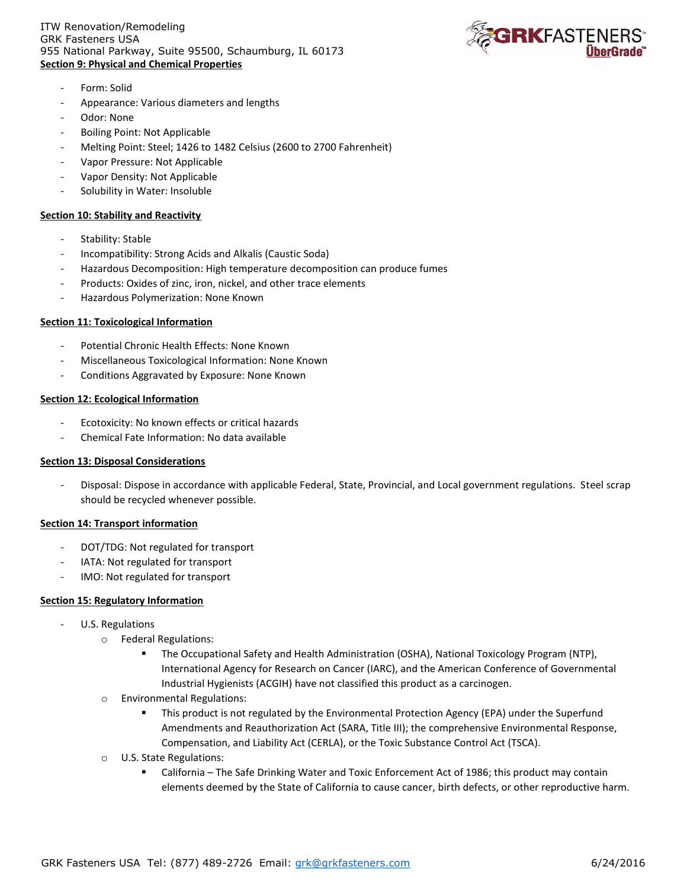#### ITW Renovation/Remodeling GRK Fasteners USA 955 National Parkway, Suite 95500, Schaumburg, IL 60173 **Section 9: Physical and Chemical Properties**



- Form: Solid
- Appearance: Various diameters and lengths
- Odor: None
- Boiling Point: Not Applicable
- Melting Point: Steel; 1426 to 1482 Celsius (2600 to 2700 Fahrenheit)
- Vapor Pressure: Not Applicable
- Vapor Density: Not Applicable
- Solubility in Water: Insoluble

# **Section 10: Stability and Reactivity**

- Stability: Stable
- Incompatibility: Strong Acids and Alkalis (Caustic Soda)
- Hazardous Decomposition: High temperature decomposition can produce fumes
- Products: Oxides of zinc, iron, nickel, and other trace elements
- Hazardous Polymerization: None Known

#### **Section 11: Toxicological Information**

- Potential Chronic Health Effects: None Known
- Miscellaneous Toxicological Information: None Known
- Conditions Aggravated by Exposure: None Known

#### **Section 12: Ecological Information**

- Ecotoxicity: No known effects or critical hazards
- Chemical Fate Information: No data available

#### **Section 13: Disposal Considerations**

- Disposal: Dispose in accordance with applicable Federal, State, Provincial, and Local government regulations. Steel scrap should be recycled whenever possible.

# **Section 14: Transport information**

- DOT/TDG: Not regulated for transport
- IATA: Not regulated for transport
- IMO: Not regulated for transport

# **Section 15: Regulatory Information**

- U.S. Regulations
	- o Federal Regulations:
		- The Occupational Safety and Health Administration (OSHA), National Toxicology Program (NTP), International Agency for Research on Cancer (IARC), and the American Conference of Governmental Industrial Hygienists (ACGIH) have not classified this product as a carcinogen.
	- o Environmental Regulations:
		- **This product is not regulated by the Environmental Protection Agency (EPA) under the Superfund** Amendments and Reauthorization Act (SARA, Title III); the comprehensive Environmental Response, Compensation, and Liability Act (CERLA), or the Toxic Substance Control Act (TSCA).
	- o U.S. State Regulations:
		- California The Safe Drinking Water and Toxic Enforcement Act of 1986; this product may contain elements deemed by the State of California to cause cancer, birth defects, or other reproductive harm.